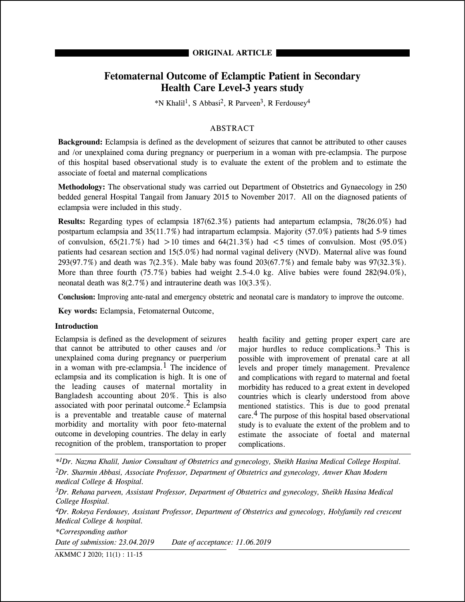# **ORIGINAL ARTICLE**

# **Fetomaternal Outcome of Eclamptic Patient in Secondary Health Care Level-3 years study**

\*N Khalil 1, S Abbasi 2, R Parveen3, R Ferdousey<sup>4</sup>

# ABSTRACT

**Background:** Eclampsia is defined as the development of seizures that cannot be attributed to other causes and /or unexplained coma during pregnancy or puerperium in a woman with pre-eclampsia. The purpose of this hospital based observational study is to evaluate the extent of the problem and to estimate the associate of foetal and maternal complications

**Methodology:** The observational study was carried out Department of Obstetrics and Gynaecology in 250 bedded general Hospital Tangail from January 2015 to November 2017. All on the diagnosed patients of eclampsia were included in this study.

**Results:** Regarding types of eclampsia 187(62.3%) patients had antepartum eclampsia, 78(26.0%) had postpartum eclampsia and 35(11.7%) had intrapartum eclampsia. Majority (57.0%) patients had 5-9 times of convulsion,  $65(21.7\%)$  had  $>10$  times and  $64(21.3\%)$  had  $< 5$  times of convulsion. Most (95.0%) patients had cesarean section and 15(5.0%) had normal vaginal delivery (NVD). Maternal alive was found 293(97.7%) and death was 7(2.3%). Male baby was found 203(67.7%) and female baby was 97(32.3%). More than three fourth (75.7%) babies had weight 2.5-4.0 kg. Alive babies were found 282(94.0%), neonatal death was 8(2.7%) and intrauterine death was 10(3.3%).

**Conclusion:** Improving ante-natal and emergency obstetric and neonatal care is mandatory to improve the outcome.

**Key words:** Eclampsia, Fetomaternal Outcome,

## **Introduction**

Eclampsia is defined as the development of seizures that cannot be attributed to other causes and /or unexplained coma during pregnancy or puerperium in a woman with pre-eclampsia.<sup>1</sup> The incidence of eclampsia and its complication is high. It is one of the leading causes of maternal mortality in Bangladesh accounting about 20%. This is also associated with poor perinatal outcome.<sup>2</sup> Eclampsia is a preventable and treatable cause of maternal morbidity and mortality with poor feto-maternal outcome in developing countries. The delay in early recognition of the problem, transportation to proper

health facility and getting proper expert care are major hurdles to reduce complications.  $3$  This is possible with improvement of prenatal care at all levels and proper timely management. Prevalence and complications with regard to maternal and foetal morbidity has reduced to a great extent in developed countries which is clearly understood from above mentioned statistics. This is due to good prenatal care.4 The purpose of this hospital based observational study is to evaluate the extent of the problem and to estimate the associate of foetal and maternal complications.

*\*1Dr. Nazma Khalil, Junior Consultant of Obstetrics and gynecology, Sheikh Hasina Medical College Hospital. 2Dr. Sharmin Abbasi, Associate Professor, Department of Obstetrics and gynecology, Anwer Khan Modern medical College & Hospital.*

*3Dr. Rehana parveen, Assistant Professor, Department of Obstetrics and gynecology, Sheikh Hasina Medical College Hospital.*

*4Dr. Rokeya Ferdousey, Assistant Professor, Department of Obstetrics and gynecology, Holyfamily red crescent Medical College & hospital.*

*\*Corresponding author Date of submission: 23.04.2019 Date of acceptance: 11.06.2019*

AKMMC J 2020; 11(1) : 11-15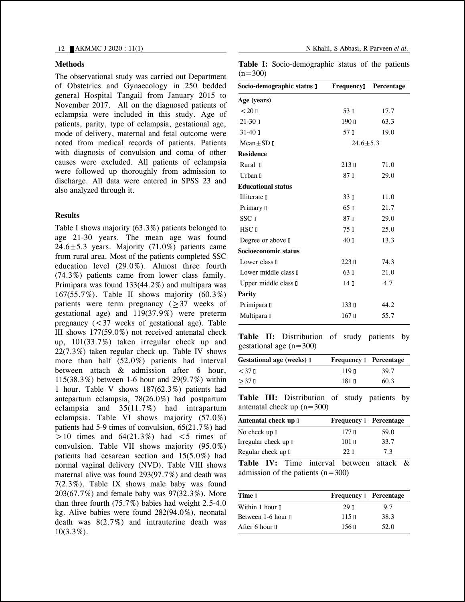#### **Methods**

The observational study was carried out Department of Obstetrics and Gynaecology in 250 bedded general Hospital Tangail from January 2015 to November 2017. All on the diagnosed patients of eclampsia were included in this study. Age of patients, parity, type of eclampsia, gestational age, mode of delivery, maternal and fetal outcome were noted from medical records of patients. Patients with diagnosis of convulsion and coma of other causes were excluded. All patients of eclampsia were followed up thoroughly from admission to discharge. All data were entered in SPSS 23 and also analyzed through it.

## **Results**

Table I shows majority (63.3%) patients belonged to age 21-30 years. The mean age was found  $24.6+5.3$  years. Majority  $(71.0\%)$  patients came from rural area. Most of the patients completed SSC education level (29.0%). Almost three fourth (74.3%) patients came from lower class family. Primipara was found 133(44.2%) and multipara was 167(55.7%). Table II shows majority (60.3%) patients were term pregnancy  $(2)$ 37 weeks of gestational age) and 119(37.9%) were preterm pregnancy  $\left( \langle 37 \rangle \right)$  weeks of gestational age). Table III shows 177(59.0%) not received antenatal check up, 101(33.7%) taken irregular check up and 22(7.3%) taken regular check up. Table IV shows more than half (52.0%) patients had interval between attach & admission after 6 hour, 115(38.3%) between 1-6 hour and 29(9.7%) within 1 hour. Table V shows 187(62.3%) patients had antepartum eclampsia, 78(26.0%) had postpartum eclampsia and 35(11.7%) had intrapartum eclampsia. Table VI shows majority (57.0%) patients had 5-9 times of convulsion, 65(21.7%) had  $>10$  times and  $64(21.3\%)$  had  $< 5$  times of convulsion. Table VII shows majority (95.0%) patients had cesarean section and 15(5.0%) had normal vaginal delivery (NVD). Table VIII shows maternal alive was found 293(97.7%) and death was 7(2.3%). Table IX shows male baby was found 203(67.7%) and female baby was 97(32.3%). More than three fourth (75.7%) babies had weight 2.5-4.0 kg. Alive babies were found 282(94.0%), neonatal death was 8(2.7%) and intrauterine death was  $10(3.3\%)$ .

**Table I:** Socio-demographic status of the patients  $(n=300)$ 

| Socio-demographic status II | Frequency         | Percentage |
|-----------------------------|-------------------|------------|
| Age (years)                 |                   |            |
| < 20                        | 53 I              | 17.7       |
| $21-30$ D                   | 190日              | 63.3       |
| $31 - 401$                  | 57 D              | 19.0       |
| $Mean + SD \Box$            | $24.6 + 5.3$      |            |
| <b>Residence</b>            |                   |            |
| Rural D                     | 213 <sub>II</sub> | 71.0       |
| Urban I                     | 87 <sub>0</sub>   | 29.0       |
| <b>Educational status</b>   |                   |            |
| Illiterate D                | 33 <sub>II</sub>  | 11.0       |
| Primary I                   | 65 <sub>0</sub>   | 21.7       |
| <b>SSC</b> <sub>D</sub>     | 87n               | 29.0       |
| HSC <sub>D</sub>            | 75 <sub>II</sub>  | 25.0       |
| Degree or above $\mathbb I$ | 40 D              | 13.3       |
| Socioeconomic status        |                   |            |
| Lower class I               | 223 <sub>1</sub>  | 74.3       |
| Lower middle class II       | 63 <sub>0</sub>   | 21.0       |
| Upper middle class II       | 14 <sub>0</sub>   | 4.7        |
| Parity                      |                   |            |
| Primipara D                 | 133 日             | 44.2       |
| Multipara II                | 167 <sub>0</sub>  | 55.7       |

**Table II:** Distribution of study patients by gestational age  $(n=300)$ 

| Gestational age (weeks) I          | Frequency D Percentage |      |
|------------------------------------|------------------------|------|
| $<$ 37 $\scriptstyle\rm \parallel$ | 119 N                  | 39.7 |
| $>37$ D                            | 181 N                  | 60.3 |

**Table III:** Distribution of study patients by antenatal check up  $(n=300)$ 

| Antenatal check up I        | Frequency D Percentage |      |
|-----------------------------|------------------------|------|
| No check up □               | 177 <sub>II</sub>      | 59.0 |
| Irregular check up <b>I</b> | 101 <sub>II</sub>      | 33.7 |
| Regular check up I          | 22n                    | 7.3  |

**Table IV:** Time interval between attack & admission of the patients  $(n=300)$ 

| 29 H              | 97                            |
|-------------------|-------------------------------|
| 115 <sub>II</sub> | 38.3                          |
| $156$ D           | 52.0                          |
|                   | <b>Frequency D</b> Percentage |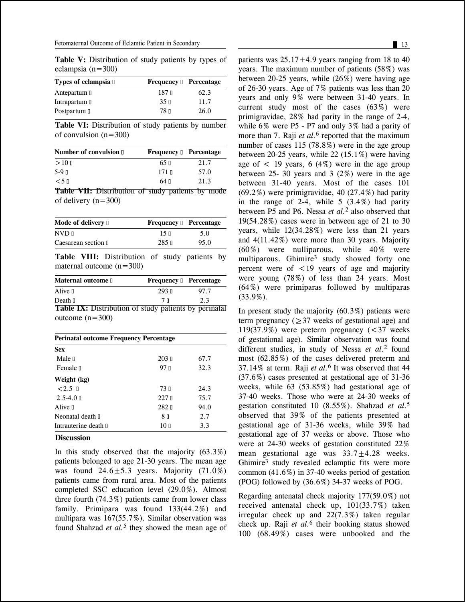**Table V:** Distribution of study patients by types of eclampsia (n=300)

| Types of eclampsia I | <b>Frequency D</b> Percentage |      |
|----------------------|-------------------------------|------|
| Antepartum I         | 187 D                         | 62.3 |
| Intrapartum I        | 35 <sub>II</sub>              | 11.7 |
| Postpartum II        | 78 T                          | 26.0 |

**Table VI:** Distribution of study patients by number of convulsion  $(n=300)$ 

| <b>Number of convulsion D</b> | <b>Frequency Dercentage</b> |      |
|-------------------------------|-----------------------------|------|
| $>10$ n                       | $65 \square$                | 21.7 |
| $5-9$ $\Box$                  | $171$ n                     | 57.0 |
| $< 5 \pi$                     | 64 N                        | 21.3 |
|                               |                             |      |

**Table VII:** Distribution of study patients by mode of delivery (n=300)

| Mode of delivery $\mathbb I$ | <b>Frequency I</b> Percentage |      |
|------------------------------|-------------------------------|------|
| $NVD$ $\Box$                 | 15n                           | 5.0  |
| Caesarean section I          | $285$ D                       | 95.0 |

**Table VIII:** Distribution of study patients by maternal outcome  $(n=300)$ 

| <b>Maternal outcome I</b>                             | Frequency D Percentage |      |
|-------------------------------------------------------|------------------------|------|
| Alive <sub>I</sub>                                    | $293$ n                | 97.7 |
| Death I                                               | 7 N                    | 2.3  |
| Toble IV. Distribution of study patients by peripated |                        |      |

**Table IX:** Distribution of study patients by perinatal outcome  $(n=300)$ 

| <b>Perinatal outcome Frequency Percentage</b> |      |  |
|-----------------------------------------------|------|--|
|                                               |      |  |
| $203 \text{ m}$                               | 67.7 |  |
| 97 <sub>1</sub>                               | 32.3 |  |
|                                               |      |  |
| 73 T                                          | 24.3 |  |
| 227n                                          | 75.7 |  |
| 282 D                                         | 94.0 |  |
| 8 <sub>0</sub>                                | 2.7  |  |
| 10 <sub>0</sub>                               | 3.3  |  |
|                                               |      |  |

## **Discussion**

In this study observed that the majority  $(63.3\%)$ patients belonged to age 21-30 years. The mean age was found  $24.6 \pm 5.3$  years. Majority (71.0%) patients came from rural area. Most of the patients completed SSC education level (29.0%). Almost three fourth (74.3%) patients came from lower class family. Primipara was found 133(44.2%) and multipara was 167(55.7%). Similar observation was found Shahzad *et al.*<sup>5</sup> they showed the mean age of patients was  $25.17+4.9$  years ranging from 18 to 40 years. The maximum number of patients (58%) was between 20-25 years, while (26%) were having age of 26-30 years. Age of 7% patients was less than 20 years and only 9% were between 31-40 years. In current study most of the cases (63%) were primigravidae, 28% had parity in the range of 2-4, while 6% were P5 - P7 and only 3% had a parity of more than 7. Raji *et al.*<sup>6</sup> reported that the maximum number of cases 115 (78.8%) were in the age group between 20-25 years, while 22 (15.1%) were having age of  $\lt$  19 years, 6 (4%) were in the age group between 25- 30 years and 3  $(2%)$  were in the age between 31-40 years. Most of the cases 101  $(69.2\%)$  were primigravidae, 40  $(27.4\%)$  had parity in the range of 2-4, while  $5(3.4\%)$  had parity between P5 and P6. Nessa *et al.*<sup>2</sup> also observed that 19(54.28%) cases were in between age of 21 to 30 years, while 12(34.28%) were less than 21 years and 4(11.42%) were more than 30 years. Majority (60%) were nulliparous, while 40% were multiparous. Ghimire<sup>3</sup> study showed forty one percent were of  $\lt 19$  years of age and majority were young (78%) of less than 24 years. Most (64%) were primiparas followed by multiparas (33.9%).

In present study the majority  $(60.3\%)$  patients were term pregnancy ( $\geq$  37 weeks of gestational age) and 119(37.9%) were preterm pregnancy  $\leq 37$  weeks of gestational age). Similar observation was found different studies, in study of Nessa *et al.*<sup>2</sup> found most (62.85%) of the cases delivered preterm and 37.14% at term. Raji *et al.*<sup>6</sup> It was observed that 44 (37.6%) cases presented at gestational age of 31-36 weeks, while 63 (53.85%) had gestational age of 37-40 weeks. Those who were at 24-30 weeks of gestation constituted 10 (8.55%). Shahzad *et al.*<sup>5</sup> observed that 39% of the patients presented at gestational age of 31-36 weeks, while 39% had gestational age of 37 weeks or above. Those who were at 24-30 weeks of gestation constituted 22% mean gestational age was  $33.7 \pm 4.28$  weeks. Ghimire3 study revealed eclamptic fits were more common (41.6%) in 37-40 weeks period of gestation (POG) followed by (36.6%) 34-37 weeks of POG.

Regarding antenatal check majority 177(59.0%) not received antenatal check up, 101(33.7%) taken irregular check up and 22(7.3%) taken regular check up. Raji *et al.*<sup>6</sup> their booking status showed 100 (68.49%) cases were unbooked and the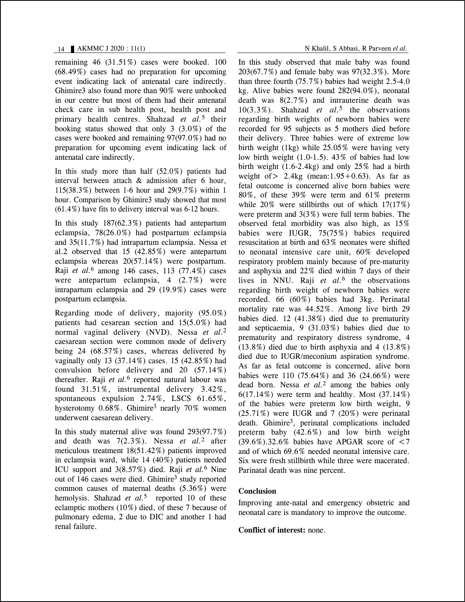remaining 46 (31.51%) cases were booked. 100 (68.49%) cases had no preparation for upcoming event indicating lack of antenatal care indirectly. Ghimire3 also found more than 90% were unbooked in our centre but most of them had their antenatal check care in sub health post, health post and primary health centres. Shahzad *et al.*<sup>5</sup> their booking status showed that only 3 (3.0%) of the cases were booked and remaining 97(97.0%) had no preparation for upcoming event indicating lack of antenatal care indirectly.

In this study more than half (52.0%) patients had interval between attach & admission after 6 hour, 115(38.3%) between 1-6 hour and 29(9.7%) within 1 hour. Comparison by Ghimire3 study showed that most (61.4%) have fits to delivery interval was 6-12 hours.

In this study 187(62.3%) patients had antepartum eclampsia, 78(26.0%) had postpartum eclampsia and 35(11.7%) had intrapartum eclampsia. Nessa et al.2 observed that 15 (42.85%) were antepartum eclampsia whereas 20(57.14%) were postpartum. Raji *et al.*<sup>6</sup> among 146 cases, 113 (77.4%) cases were antepartum eclampsia, 4 (2.7%) were intrapartum eclampsia and 29 (19.9%) cases were postpartum eclampsia.

Regarding mode of delivery, majority (95.0%) patients had cesarean section and 15(5.0%) had normal vaginal delivery (NVD). Nessa *et al.*<sup>2</sup> caesarean section were common mode of delivery being 24 (68.57%) cases, whereas delivered by vaginally only 13 (37.14%) cases. 15 (42.85%) had convulsion before delivery and 20 (57.14%) thereafter. Raji *et al.*<sup>6</sup> reported natural labour was found 31.51%, instrumental delivery 3.42%, spontaneous expulsion 2.74%, LSCS 61.65%, hysterotomy 0.68%. Ghimire3 nearly 70% women underwent caesarean delivery.

In this study maternal alive was found 293(97.7%) and death was 7(2.3%). Nessa *et al.*<sup>2</sup> after meticulous treatment 18(51.42%) patients improved in eclampsia ward, while 14 (40%) patients needed ICU support and 3(8.57%) died. Raji *et al.*<sup>6</sup> Nine out of 146 cases were died. Ghimire<sup>3</sup> study reported common causes of maternal deaths (5.36%) were hemolysis. Shahzad *et al.*<sup>5</sup> reported 10 of these eclamptic mothers (10%) died, of these 7 because of pulmonary edema, 2 due to DIC and another 1 had renal failure.

In this study observed that male baby was found 203(67.7%) and female baby was 97(32.3%). More than three fourth  $(75.7%)$  babies had weight 2.5-4.0 kg. Alive babies were found 282(94.0%), neonatal death was  $8(2.7\%)$  and intrauterine death was 10(3.3%). Shahzad *et al.*<sup>5</sup> the observations regarding birth weights of newborn babies were recorded for 95 subjects as 5 mothers died before their delivery. Three babies were of extreme low birth weight (1kg) while 25.05% were having very low birth weight (1.0-1.5). 43% of babies had low birth weight (1.6-2.4kg) and only 25% had a birth weight of  $> 2.4$ kg (mean: 1.95 + 0.63). As far as fetal outcome is concerned alive born babies were 80%, of these 39% were term and 61% preterm while 20% were stillbirths out of which  $17(17%)$ were preterm and 3(3%) were full term babies. The observed fetal morbidity was also high, as 15% babies were IUGR, 75(75%) babies required resuscitation at birth and 63% neonates were shifted to neonatal intensive care unit, 60% developed respiratory problem mainly because of pre-maturity and asphyxia and 22% died within 7 days of their lives in NNU. Raji *et al.*<sup>6</sup> the observations regarding birth weight of newborn babies were recorded. 66 (60%) babies had 3kg. Perinatal mortality rate was 44.52%. Among live birth 29 babies died. 12 (41.38%) died due to prematurity and septicaemia, 9 (31.03%) babies died due to prematurity and respiratory distress syndrome, 4 (13.8%) died due to birth asphyxia and 4 (13.8%) died due to IUGR/meconium aspiration syndrome. As far as fetal outcome is concerned, alive born babies were 110 (75.64%) and 36 (24.66%) were dead born. Nessa *et al.*<sup>2</sup> among the babies only 6(17.14%) were term and healthy. Most (37.14%) of the babies were preterm low birth weight, 9  $(25.71\%)$  were IUGR and 7  $(20\%)$  were perinatal death. Ghimire<sup>3</sup>, perinatal complications included preterm baby (42.6%) and low birth weight  $(39.6\%)$ .32.6% babies have APGAR score of  $\leq$ 7 and of which 69.6% needed neonatal intensive care. Six were fresh stillbirth while three were macerated. Parinatal death was nine percent.

### **Conclusion**

Improving ante-natal and emergency obstetric and neonatal care is mandatory to improve the outcome.

## **Conflict of interest:** none.